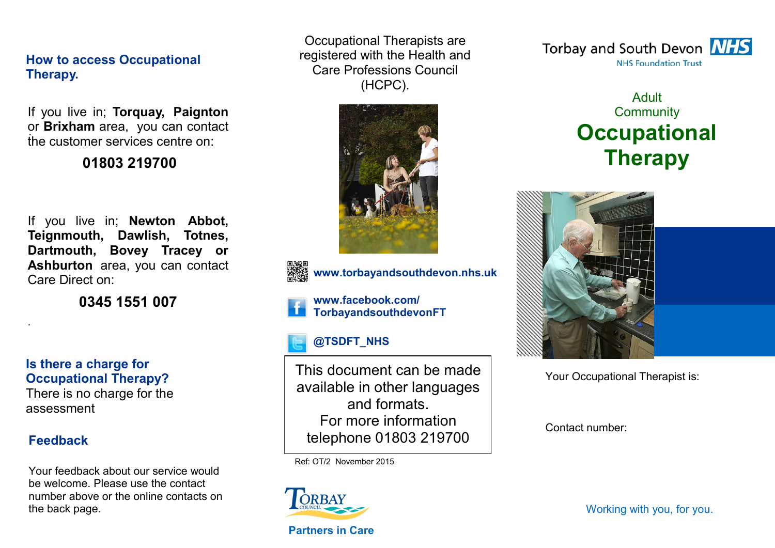## **How to access Occupational Therapy.**

. or **Brixham** area, you can contact If you live in; **Torquay, Paignton**  the customer services centre on:

## **01803 219700**

If you live in; **Newton Abbot, Teignmouth, Dawlish, Totnes, Dartmouth, Bovey Tracey or Ashburton** area, you can contact Care Direct on:

**0345 1551 007**

**Is there a charge for Occupational Therapy?**

There is no charge for the assessment

## **Feedback**

.

Your feedback about our service would be welcome. Please use the contact number above or the online contacts on the back page.

Occupational Therapists are registered with the Health and Care Professions Council (HCPC).





**www.torbayandsouthdevon.nhs.uk**

**www.facebook.com/ TorbayandsouthdevonFT**

# **@TSDFT\_NHS**

This document can be made available in other languages and formats. For more information telephone 01803 219700

Ref: OT/2 November 2015



**Partners in Care** 

Torbay and South Devon **NHS NHS Foundation Trust** 

# Adult **Community Occupational Therapy**



Your Occupational Therapist is:

Contact number: